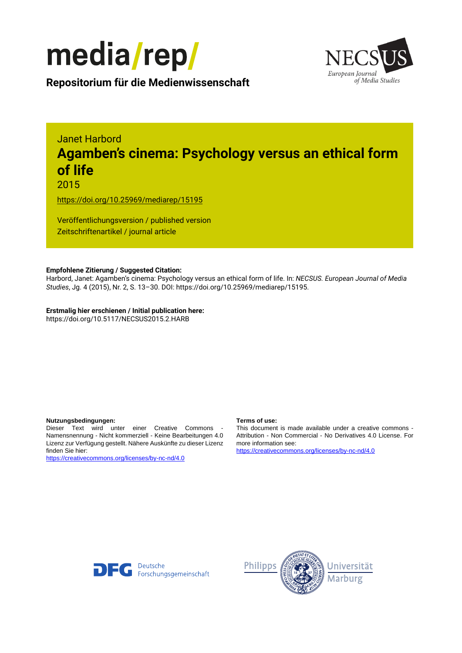



**Repositorium für die [Medienwissenschaft](https://mediarep.org)**

# Janet Harbord **Agamben's cinema: Psychology versus an ethical form of life**

2015

<https://doi.org/10.25969/mediarep/15195>

Veröffentlichungsversion / published version Zeitschriftenartikel / journal article

### **Empfohlene Zitierung / Suggested Citation:**

Harbord, Janet: Agamben's cinema: Psychology versus an ethical form of life. In: *NECSUS. European Journal of Media Studies*, Jg. 4 (2015), Nr. 2, S. 13–30. DOI: https://doi.org/10.25969/mediarep/15195.

**Erstmalig hier erschienen / Initial publication here:** https://doi.org/10.5117/NECSUS2015.2.HARB

#### **Nutzungsbedingungen: Terms of use:**

Dieser Text wird unter einer Creative Commons - Namensnennung - Nicht kommerziell - Keine Bearbeitungen 4.0 Lizenz zur Verfügung gestellt. Nähere Auskünfte zu dieser Lizenz finden Sie hier:

<https://creativecommons.org/licenses/by-nc-nd/4.0>

This document is made available under a creative commons - Attribution - Non Commercial - No Derivatives 4.0 License. For more information see:

<https://creativecommons.org/licenses/by-nc-nd/4.0>



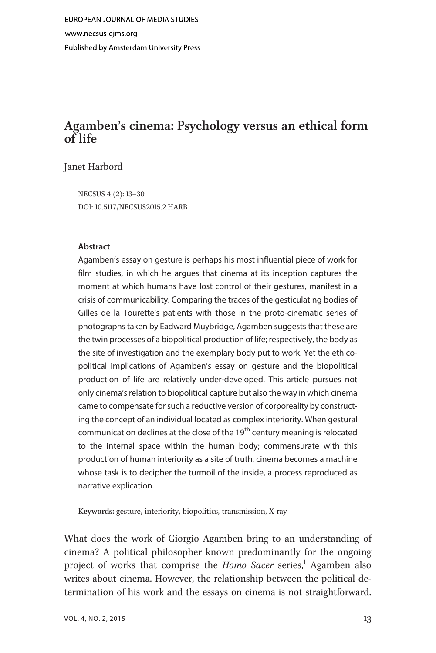# Agamben's cinema: Psychology versus an ethical form of life

### Janet Harbord

NECSUS 4 (2): 13–30 DOI: 10.5117/NECSUS2015.2.HARB

#### Abstract

Agamben's essay on gesture is perhaps his most influential piece of work for film studies, in which he argues that cinema at its inception captures the moment at which humans have lost control of their gestures, manifest in a crisis of communicability. Comparing the traces of the gesticulating bodies of Gilles de la Tourette's patients with those in the proto-cinematic series of photographs taken by Eadward Muybridge, Agamben suggests that these are the twin processes of a biopolitical production of life; respectively, the body as the site of investigation and the exemplary body put to work. Yet the ethicopolitical implications of Agamben's essay on gesture and the biopolitical production of life are relatively under-developed. This article pursues not only cinema's relation to biopolitical capture but also the way in which cinema came to compensate for such a reductive version of corporeality by constructing the concept of an individual located as complex interiority. When gestural communication declines at the close of the 19<sup>th</sup> century meaning is relocated to the internal space within the human body; commensurate with this production of human interiority as a site of truth, cinema becomes a machine whose task is to decipher the turmoil of the inside, a process reproduced as narrative explication.

Keywords: gesture, interiority, biopolitics, transmission, X-ray

What does the work of Giorgio Agamben bring to an understanding of cinema? A political philosopher known predominantly for the ongoing project of works that comprise the *Homo Sacer* series,<sup>1</sup> Agamben also writes about cinema. However, the relationship between the political determination of his work and the essays on cinema is not straightforward.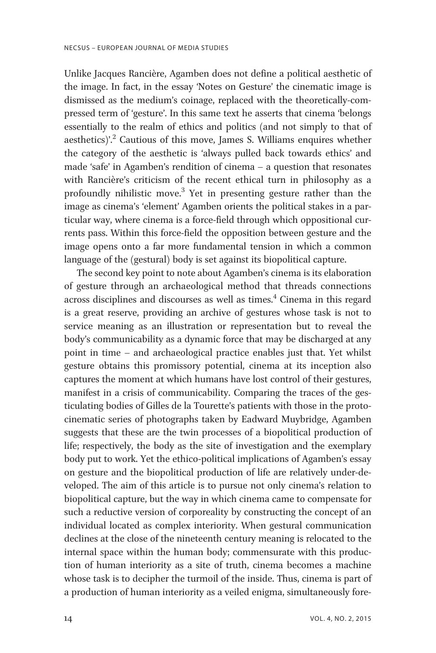Unlike Jacques Rancière, Agamben does not define a political aesthetic of the image. In fact, in the essay 'Notes on Gesture' the cinematic image is dismissed as the medium's coinage, replaced with the theoretically-compressed term of 'gesture'. In this same text he asserts that cinema 'belongs essentially to the realm of ethics and politics (and not simply to that of aesthetics)'. <sup>2</sup> Cautious of this move, James S. Williams enquires whether the category of the aesthetic is 'always pulled back towards ethics' and made 'safe' in Agamben's rendition of cinema – a question that resonates with Rancière's criticism of the recent ethical turn in philosophy as a profoundly nihilistic move.<sup>3</sup> Yet in presenting gesture rather than the image as cinema's 'element' Agamben orients the political stakes in a particular way, where cinema is a force-field through which oppositional currents pass. Within this force-field the opposition between gesture and the image opens onto a far more fundamental tension in which a common language of the (gestural) body is set against its biopolitical capture.

The second key point to note about Agamben's cinema is its elaboration of gesture through an archaeological method that threads connections across disciplines and discourses as well as times.<sup>4</sup> Cinema in this regard is a great reserve, providing an archive of gestures whose task is not to service meaning as an illustration or representation but to reveal the body's communicability as a dynamic force that may be discharged at any point in time – and archaeological practice enables just that. Yet whilst gesture obtains this promissory potential, cinema at its inception also captures the moment at which humans have lost control of their gestures, manifest in a crisis of communicability. Comparing the traces of the gesticulating bodies of Gilles de la Tourette's patients with those in the protocinematic series of photographs taken by Eadward Muybridge, Agamben suggests that these are the twin processes of a biopolitical production of life; respectively, the body as the site of investigation and the exemplary body put to work. Yet the ethico-political implications of Agamben's essay on gesture and the biopolitical production of life are relatively under-developed. The aim of this article is to pursue not only cinema's relation to biopolitical capture, but the way in which cinema came to compensate for such a reductive version of corporeality by constructing the concept of an individual located as complex interiority. When gestural communication declines at the close of the nineteenth century meaning is relocated to the internal space within the human body; commensurate with this production of human interiority as a site of truth, cinema becomes a machine whose task is to decipher the turmoil of the inside. Thus, cinema is part of a production of human interiority as a veiled enigma, simultaneously fore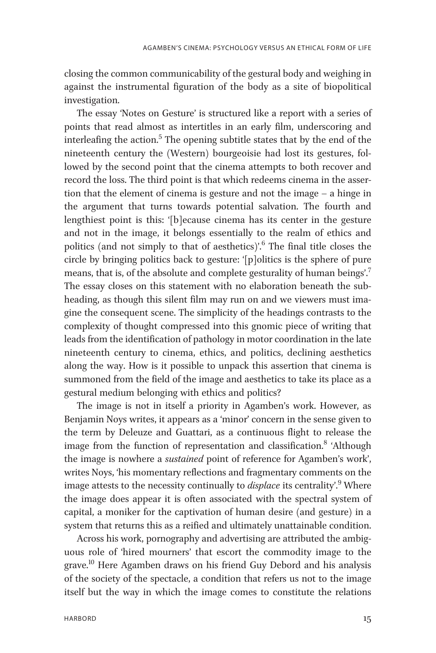closing the common communicability of the gestural body and weighing in against the instrumental figuration of the body as a site of biopolitical investigation.

The essay 'Notes on Gesture' is structured like a report with a series of points that read almost as intertitles in an early film, underscoring and interleafing the action.<sup>5</sup> The opening subtitle states that by the end of the nineteenth century the (Western) bourgeoisie had lost its gestures, followed by the second point that the cinema attempts to both recover and record the loss. The third point is that which redeems cinema in the assertion that the element of cinema is gesture and not the image – a hinge in the argument that turns towards potential salvation. The fourth and lengthiest point is this: '[b]ecause cinema has its center in the gesture and not in the image, it belongs essentially to the realm of ethics and politics (and not simply to that of aesthetics)'. <sup>6</sup> The final title closes the circle by bringing politics back to gesture: '[p]olitics is the sphere of pure means, that is, of the absolute and complete gesturality of human beings'. 7 The essay closes on this statement with no elaboration beneath the subheading, as though this silent film may run on and we viewers must imagine the consequent scene. The simplicity of the headings contrasts to the complexity of thought compressed into this gnomic piece of writing that leads from the identification of pathology in motor coordination in the late nineteenth century to cinema, ethics, and politics, declining aesthetics along the way. How is it possible to unpack this assertion that cinema is summoned from the field of the image and aesthetics to take its place as a gestural medium belonging with ethics and politics?

The image is not in itself a priority in Agamben's work. However, as Benjamin Noys writes, it appears as a 'minor' concern in the sense given to the term by Deleuze and Guattari, as a continuous flight to release the image from the function of representation and classification.<sup>8</sup> 'Although the image is nowhere a sustained point of reference for Agamben's work', writes Noys, 'his momentary reflections and fragmentary comments on the image attests to the necessity continually to *displace* its centrality'.<sup>9</sup> Where the image does appear it is often associated with the spectral system of capital, a moniker for the captivation of human desire (and gesture) in a system that returns this as a reified and ultimately unattainable condition.

Across his work, pornography and advertising are attributed the ambiguous role of 'hired mourners' that escort the commodity image to the grave.<sup>10</sup> Here Agamben draws on his friend Guy Debord and his analysis of the society of the spectacle, a condition that refers us not to the image itself but the way in which the image comes to constitute the relations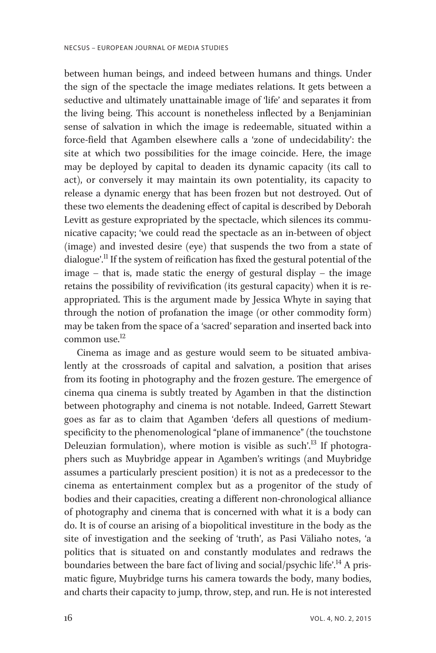between human beings, and indeed between humans and things. Under the sign of the spectacle the image mediates relations. It gets between a seductive and ultimately unattainable image of 'life' and separates it from the living being. This account is nonetheless inflected by a Benjaminian sense of salvation in which the image is redeemable, situated within a force-field that Agamben elsewhere calls a 'zone of undecidability': the site at which two possibilities for the image coincide. Here, the image may be deployed by capital to deaden its dynamic capacity (its call to act), or conversely it may maintain its own potentiality, its capacity to release a dynamic energy that has been frozen but not destroyed. Out of these two elements the deadening effect of capital is described by Deborah Levitt as gesture expropriated by the spectacle, which silences its communicative capacity; 'we could read the spectacle as an in-between of object (image) and invested desire (eye) that suspends the two from a state of dialogue'.<sup>11</sup> If the system of reification has fixed the gestural potential of the image – that is, made static the energy of gestural display – the image retains the possibility of revivification (its gestural capacity) when it is reappropriated. This is the argument made by Jessica Whyte in saying that through the notion of profanation the image (or other commodity form) may be taken from the space of a 'sacred' separation and inserted back into common use.<sup>12</sup>

Cinema as image and as gesture would seem to be situated ambivalently at the crossroads of capital and salvation, a position that arises from its footing in photography and the frozen gesture. The emergence of cinema qua cinema is subtly treated by Agamben in that the distinction between photography and cinema is not notable. Indeed, Garrett Stewart goes as far as to claim that Agamben 'defers all questions of mediumspecificity to the phenomenological "plane of immanence" (the touchstone Deleuzian formulation), where motion is visible as such'.<sup>13</sup> If photographers such as Muybridge appear in Agamben's writings (and Muybridge assumes a particularly prescient position) it is not as a predecessor to the cinema as entertainment complex but as a progenitor of the study of bodies and their capacities, creating a different non-chronological alliance of photography and cinema that is concerned with what it is a body can do. It is of course an arising of a biopolitical investiture in the body as the site of investigation and the seeking of 'truth', as Pasi Väliaho notes, 'a politics that is situated on and constantly modulates and redraws the .<br>boundaries between the bare fact of living and social/psychic life'.<sup>14</sup> A prismatic figure, Muybridge turns his camera towards the body, many bodies, and charts their capacity to jump, throw, step, and run. He is not interested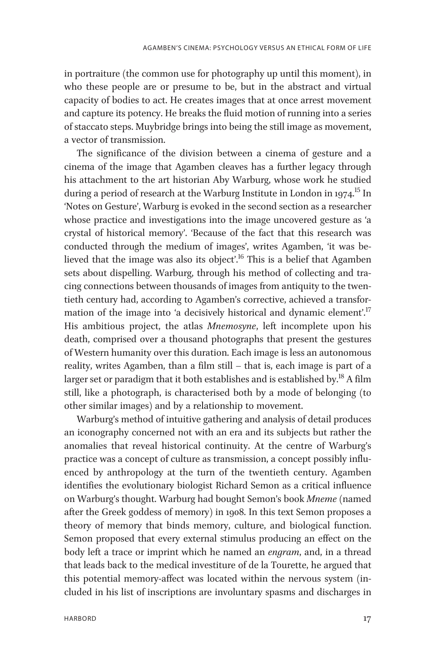in portraiture (the common use for photography up until this moment), in who these people are or presume to be, but in the abstract and virtual capacity of bodies to act. He creates images that at once arrest movement and capture its potency. He breaks the fluid motion of running into a series of staccato steps. Muybridge brings into being the still image as movement, a vector of transmission.

The significance of the division between a cinema of gesture and a cinema of the image that Agamben cleaves has a further legacy through his attachment to the art historian Aby Warburg, whose work he studied during a period of research at the Warburg Institute in London in 1974.<sup>15</sup> In 'Notes on Gesture', Warburg is evoked in the second section as a researcher whose practice and investigations into the image uncovered gesture as 'a crystal of historical memory'. 'Because of the fact that this research was conducted through the medium of images', writes Agamben, 'it was believed that the image was also its object<sup>''</sup>.<sup>16</sup> This is a belief that Agamben sets about dispelling. Warburg, through his method of collecting and tracing connections between thousands of images from antiquity to the twentieth century had, according to Agamben's corrective, achieved a transformation of the image into 'a decisively historical and dynamic element'.<sup>17</sup> His ambitious project, the atlas *Mnemosyne*, left incomplete upon his death, comprised over a thousand photographs that present the gestures of Western humanity over this duration. Each image is less an autonomous reality, writes Agamben, than a film still – that is, each image is part of a larger set or paradigm that it both establishes and is established by.<sup>18</sup> A film still, like a photograph, is characterised both by a mode of belonging (to other similar images) and by a relationship to movement.

Warburg's method of intuitive gathering and analysis of detail produces an iconography concerned not with an era and its subjects but rather the anomalies that reveal historical continuity. At the centre of Warburg's practice was a concept of culture as transmission, a concept possibly influenced by anthropology at the turn of the twentieth century. Agamben identifies the evolutionary biologist Richard Semon as a critical influence on Warburg's thought. Warburg had bought Semon's book Mneme (named after the Greek goddess of memory) in 1908. In this text Semon proposes a theory of memory that binds memory, culture, and biological function. Semon proposed that every external stimulus producing an effect on the body left a trace or imprint which he named an *engram*, and, in a thread that leads back to the medical investiture of de la Tourette, he argued that this potential memory-affect was located within the nervous system (included in his list of inscriptions are involuntary spasms and discharges in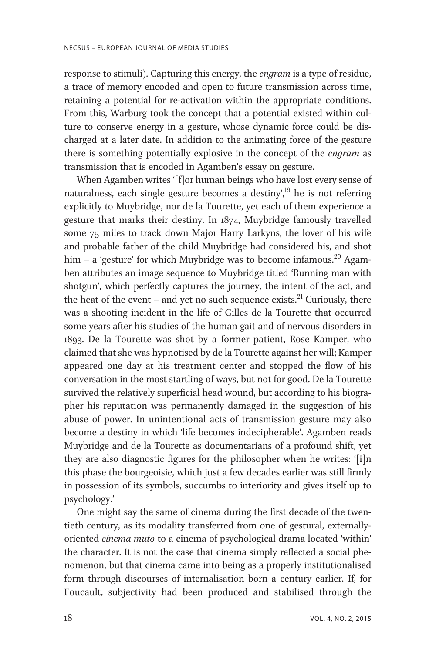response to stimuli). Capturing this energy, the *engram* is a type of residue, a trace of memory encoded and open to future transmission across time, retaining a potential for re-activation within the appropriate conditions. From this, Warburg took the concept that a potential existed within culture to conserve energy in a gesture, whose dynamic force could be discharged at a later date. In addition to the animating force of the gesture there is something potentially explosive in the concept of the engram as transmission that is encoded in Agamben's essay on gesture.

When Agamben writes '[f]or human beings who have lost every sense of naturalness, each single gesture becomes a destiny', <sup>19</sup> he is not referring explicitly to Muybridge, nor de la Tourette, yet each of them experience a gesture that marks their destiny. In 1874, Muybridge famously travelled some 75 miles to track down Major Harry Larkyns, the lover of his wife and probable father of the child Muybridge had considered his, and shot him – a 'gesture' for which Muybridge was to become infamous.<sup>20</sup> Agamben attributes an image sequence to Muybridge titled 'Running man with shotgun', which perfectly captures the journey, the intent of the act, and the heat of the event – and yet no such sequence exists. $^{21}$  Curiously, there was a shooting incident in the life of Gilles de la Tourette that occurred some years after his studies of the human gait and of nervous disorders in 1893. De la Tourette was shot by a former patient, Rose Kamper, who claimed that she was hypnotised by de la Tourette against her will; Kamper appeared one day at his treatment center and stopped the flow of his conversation in the most startling of ways, but not for good. De la Tourette survived the relatively superficial head wound, but according to his biographer his reputation was permanently damaged in the suggestion of his abuse of power. In unintentional acts of transmission gesture may also become a destiny in which 'life becomes indecipherable'. Agamben reads Muybridge and de la Tourette as documentarians of a profound shift, yet they are also diagnostic figures for the philosopher when he writes: '[i]n this phase the bourgeoisie, which just a few decades earlier was still firmly in possession of its symbols, succumbs to interiority and gives itself up to psychology.'

One might say the same of cinema during the first decade of the twentieth century, as its modality transferred from one of gestural, externallyoriented cinema muto to a cinema of psychological drama located 'within' the character. It is not the case that cinema simply reflected a social phenomenon, but that cinema came into being as a properly institutionalised form through discourses of internalisation born a century earlier. If, for Foucault, subjectivity had been produced and stabilised through the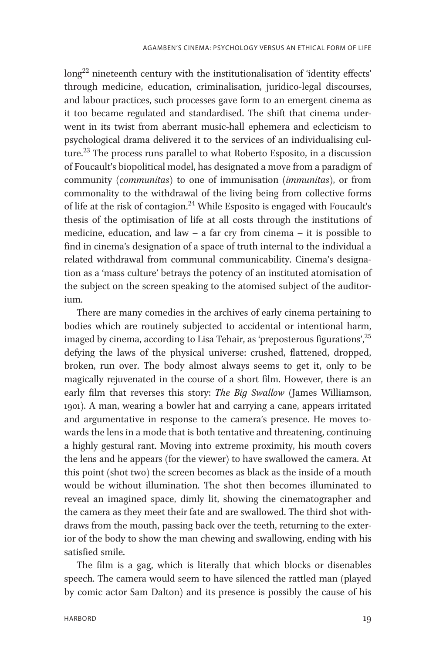$\log^{22}$  nineteenth century with the institutionalisation of 'identity effects' through medicine, education, criminalisation, juridico-legal discourses, and labour practices, such processes gave form to an emergent cinema as it too became regulated and standardised. The shift that cinema underwent in its twist from aberrant music-hall ephemera and eclecticism to psychological drama delivered it to the services of an individualising culture.<sup>23</sup> The process runs parallel to what Roberto Esposito, in a discussion of Foucault's biopolitical model, has designated a move from a paradigm of community (communitas) to one of immunisation (immunitas), or from commonality to the withdrawal of the living being from collective forms of life at the risk of contagion.<sup>24</sup> While Esposito is engaged with Foucault's thesis of the optimisation of life at all costs through the institutions of medicine, education, and law – a far cry from cinema – it is possible to find in cinema's designation of a space of truth internal to the individual a related withdrawal from communal communicability. Cinema's designation as a 'mass culture' betrays the potency of an instituted atomisation of the subject on the screen speaking to the atomised subject of the auditorium.

There are many comedies in the archives of early cinema pertaining to bodies which are routinely subjected to accidental or intentional harm, imaged by cinema, according to Lisa Tehair, as 'preposterous figurations',<sup>25</sup> defying the laws of the physical universe: crushed, flattened, dropped, broken, run over. The body almost always seems to get it, only to be magically rejuvenated in the course of a short film. However, there is an early film that reverses this story: The Big Swallow (James Williamson, 1901). A man, wearing a bowler hat and carrying a cane, appears irritated and argumentative in response to the camera's presence. He moves towards the lens in a mode that is both tentative and threatening, continuing a highly gestural rant. Moving into extreme proximity, his mouth covers the lens and he appears (for the viewer) to have swallowed the camera. At this point (shot two) the screen becomes as black as the inside of a mouth would be without illumination. The shot then becomes illuminated to reveal an imagined space, dimly lit, showing the cinematographer and the camera as they meet their fate and are swallowed. The third shot withdraws from the mouth, passing back over the teeth, returning to the exterior of the body to show the man chewing and swallowing, ending with his satisfied smile.

The film is a gag, which is literally that which blocks or disenables speech. The camera would seem to have silenced the rattled man (played by comic actor Sam Dalton) and its presence is possibly the cause of his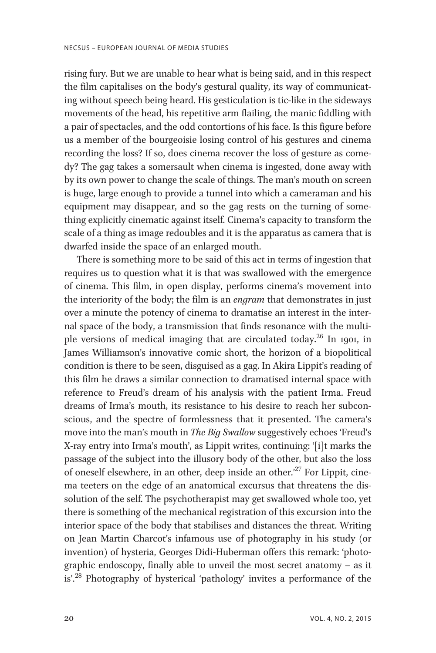rising fury. But we are unable to hear what is being said, and in this respect the film capitalises on the body's gestural quality, its way of communicating without speech being heard. His gesticulation is tic-like in the sideways movements of the head, his repetitive arm flailing, the manic fiddling with a pair of spectacles, and the odd contortions of his face. Is this figure before us a member of the bourgeoisie losing control of his gestures and cinema recording the loss? If so, does cinema recover the loss of gesture as comedy? The gag takes a somersault when cinema is ingested, done away with by its own power to change the scale of things. The man's mouth on screen is huge, large enough to provide a tunnel into which a cameraman and his equipment may disappear, and so the gag rests on the turning of something explicitly cinematic against itself. Cinema's capacity to transform the scale of a thing as image redoubles and it is the apparatus as camera that is dwarfed inside the space of an enlarged mouth.

There is something more to be said of this act in terms of ingestion that requires us to question what it is that was swallowed with the emergence of cinema. This film, in open display, performs cinema's movement into the interiority of the body; the film is an *engram* that demonstrates in just over a minute the potency of cinema to dramatise an interest in the internal space of the body, a transmission that finds resonance with the multiple versions of medical imaging that are circulated today.<sup>26</sup> In 1901, in James Williamson's innovative comic short, the horizon of a biopolitical condition is there to be seen, disguised as a gag. In Akira Lippit's reading of this film he draws a similar connection to dramatised internal space with reference to Freud's dream of his analysis with the patient Irma. Freud dreams of Irma's mouth, its resistance to his desire to reach her subconscious, and the spectre of formlessness that it presented. The camera's move into the man's mouth in The Big Swallow suggestively echoes 'Freud's X-ray entry into Irma's mouth', as Lippit writes, continuing: '[i]t marks the passage of the subject into the illusory body of the other, but also the loss of oneself elsewhere, in an other, deep inside an other.<sup>27</sup> For Lippit, cinema teeters on the edge of an anatomical excursus that threatens the dissolution of the self. The psychotherapist may get swallowed whole too, yet there is something of the mechanical registration of this excursion into the interior space of the body that stabilises and distances the threat. Writing on Jean Martin Charcot's infamous use of photography in his study (or invention) of hysteria, Georges Didi-Huberman offers this remark: 'photographic endoscopy, finally able to unveil the most secret anatomy – as it is'.<sup>28</sup> Photography of hysterical 'pathology' invites a performance of the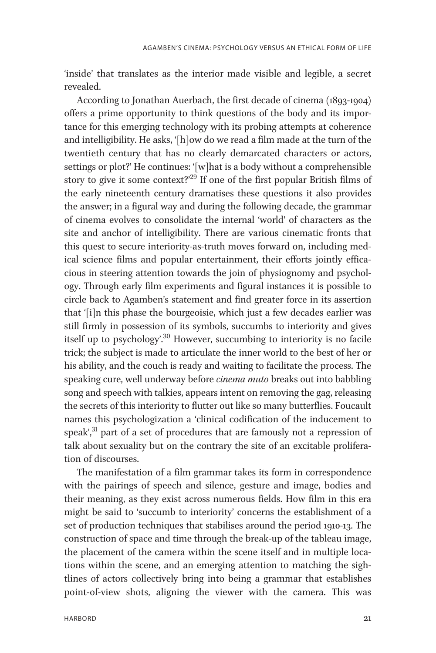'inside' that translates as the interior made visible and legible, a secret revealed.

According to Jonathan Auerbach, the first decade of cinema (1893-1904) offers a prime opportunity to think questions of the body and its importance for this emerging technology with its probing attempts at coherence and intelligibility. He asks, '[h]ow do we read a film made at the turn of the twentieth century that has no clearly demarcated characters or actors, settings or plot?' He continues: '[w]hat is a body without a comprehensible story to give it some context?'<sup>29</sup> If one of the first popular British films of the early nineteenth century dramatises these questions it also provides the answer; in a figural way and during the following decade, the grammar of cinema evolves to consolidate the internal 'world' of characters as the site and anchor of intelligibility. There are various cinematic fronts that this quest to secure interiority-as-truth moves forward on, including medical science films and popular entertainment, their efforts jointly efficacious in steering attention towards the join of physiognomy and psychology. Through early film experiments and figural instances it is possible to circle back to Agamben's statement and find greater force in its assertion that '[i]n this phase the bourgeoisie, which just a few decades earlier was still firmly in possession of its symbols, succumbs to interiority and gives itself up to psychology'. <sup>30</sup> However, succumbing to interiority is no facile trick; the subject is made to articulate the inner world to the best of her or his ability, and the couch is ready and waiting to facilitate the process. The speaking cure, well underway before *cinema muto* breaks out into babbling song and speech with talkies, appears intent on removing the gag, releasing the secrets of this interiority to flutter out like so many butterflies. Foucault names this psychologization a 'clinical codification of the inducement to speak', <sup>31</sup> part of a set of procedures that are famously not a repression of talk about sexuality but on the contrary the site of an excitable proliferation of discourses.

The manifestation of a film grammar takes its form in correspondence with the pairings of speech and silence, gesture and image, bodies and their meaning, as they exist across numerous fields. How film in this era might be said to 'succumb to interiority' concerns the establishment of a set of production techniques that stabilises around the period 1910-13. The construction of space and time through the break-up of the tableau image, the placement of the camera within the scene itself and in multiple locations within the scene, and an emerging attention to matching the sightlines of actors collectively bring into being a grammar that establishes point-of-view shots, aligning the viewer with the camera. This was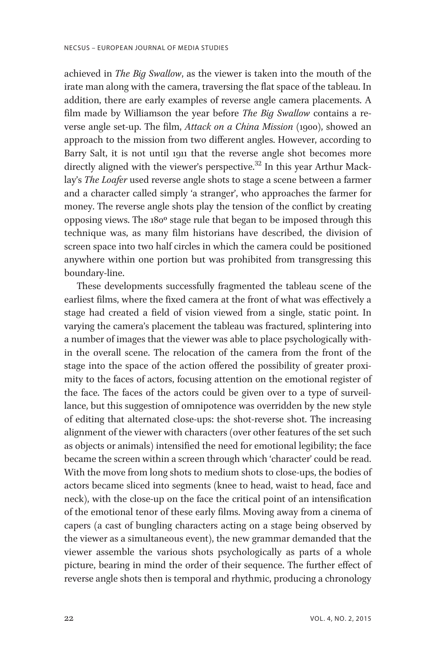achieved in The Big Swallow, as the viewer is taken into the mouth of the irate man along with the camera, traversing the flat space of the tableau. In addition, there are early examples of reverse angle camera placements. A film made by Williamson the year before The Big Swallow contains a reverse angle set-up. The film, Attack on a China Mission (1900), showed an approach to the mission from two different angles. However, according to Barry Salt, it is not until 1911 that the reverse angle shot becomes more directly aligned with the viewer's perspective.<sup>32</sup> In this year Arthur Macklay's The Loafer used reverse angle shots to stage a scene between a farmer and a character called simply 'a stranger', who approaches the farmer for money. The reverse angle shots play the tension of the conflict by creating opposing views. The 180º stage rule that began to be imposed through this technique was, as many film historians have described, the division of screen space into two half circles in which the camera could be positioned anywhere within one portion but was prohibited from transgressing this boundary-line.

These developments successfully fragmented the tableau scene of the earliest films, where the fixed camera at the front of what was effectively a stage had created a field of vision viewed from a single, static point. In varying the camera's placement the tableau was fractured, splintering into a number of images that the viewer was able to place psychologically within the overall scene. The relocation of the camera from the front of the stage into the space of the action offered the possibility of greater proximity to the faces of actors, focusing attention on the emotional register of the face. The faces of the actors could be given over to a type of surveillance, but this suggestion of omnipotence was overridden by the new style of editing that alternated close-ups: the shot-reverse shot. The increasing alignment of the viewer with characters (over other features of the set such as objects or animals) intensified the need for emotional legibility; the face became the screen within a screen through which 'character' could be read. With the move from long shots to medium shots to close-ups, the bodies of actors became sliced into segments (knee to head, waist to head, face and neck), with the close-up on the face the critical point of an intensification of the emotional tenor of these early films. Moving away from a cinema of capers (a cast of bungling characters acting on a stage being observed by the viewer as a simultaneous event), the new grammar demanded that the viewer assemble the various shots psychologically as parts of a whole picture, bearing in mind the order of their sequence. The further effect of reverse angle shots then is temporal and rhythmic, producing a chronology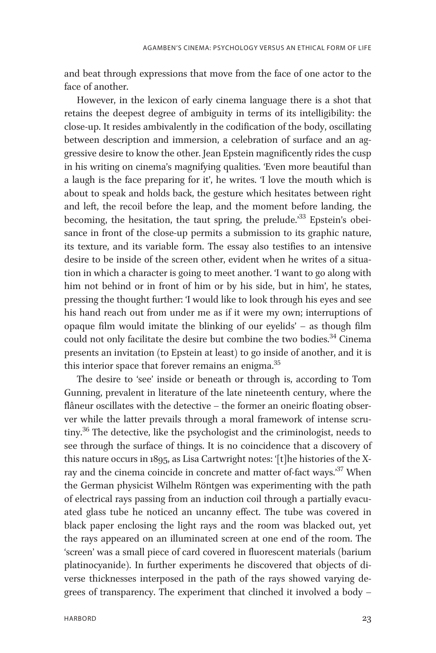and beat through expressions that move from the face of one actor to the face of another.

However, in the lexicon of early cinema language there is a shot that retains the deepest degree of ambiguity in terms of its intelligibility: the close-up. It resides ambivalently in the codification of the body, oscillating between description and immersion, a celebration of surface and an aggressive desire to know the other. Jean Epstein magnificently rides the cusp in his writing on cinema's magnifying qualities. 'Even more beautiful than a laugh is the face preparing for it', he writes. 'I love the mouth which is about to speak and holds back, the gesture which hesitates between right and left, the recoil before the leap, and the moment before landing, the becoming, the hesitation, the taut spring, the prelude.<sup>33</sup> Epstein's obeisance in front of the close-up permits a submission to its graphic nature, its texture, and its variable form. The essay also testifies to an intensive desire to be inside of the screen other, evident when he writes of a situation in which a character is going to meet another. 'I want to go along with him not behind or in front of him or by his side, but in him', he states, pressing the thought further: 'I would like to look through his eyes and see his hand reach out from under me as if it were my own; interruptions of opaque film would imitate the blinking of our eyelids' – as though film could not only facilitate the desire but combine the two bodies.<sup>34</sup> Cinema presents an invitation (to Epstein at least) to go inside of another, and it is this interior space that forever remains an enigma. $35$ 

The desire to 'see' inside or beneath or through is, according to Tom Gunning, prevalent in literature of the late nineteenth century, where the flâneur oscillates with the detective – the former an oneiric floating observer while the latter prevails through a moral framework of intense scrutiny.<sup>36</sup> The detective, like the psychologist and the criminologist, needs to see through the surface of things. It is no coincidence that a discovery of this nature occurs in 1895, as Lisa Cartwright notes: '[t]he histories of the Xray and the cinema coincide in concrete and matter of-fact ways.<sup>37</sup> When the German physicist Wilhelm Röntgen was experimenting with the path of electrical rays passing from an induction coil through a partially evacuated glass tube he noticed an uncanny effect. The tube was covered in black paper enclosing the light rays and the room was blacked out, yet the rays appeared on an illuminated screen at one end of the room. The 'screen' was a small piece of card covered in fluorescent materials (barium platinocyanide). In further experiments he discovered that objects of diverse thicknesses interposed in the path of the rays showed varying degrees of transparency. The experiment that clinched it involved a body –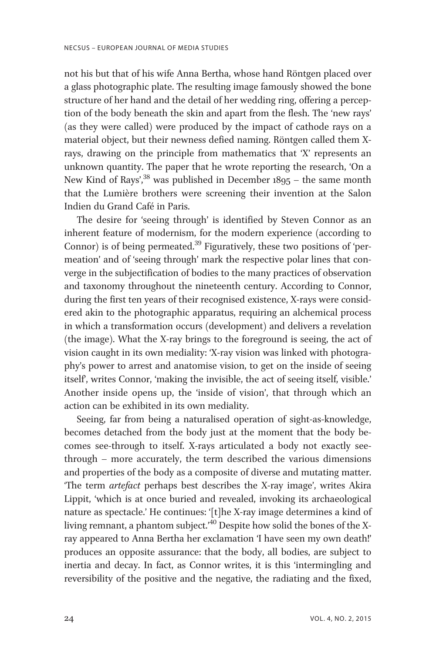not his but that of his wife Anna Bertha, whose hand Röntgen placed over a glass photographic plate. The resulting image famously showed the bone structure of her hand and the detail of her wedding ring, offering a perception of the body beneath the skin and apart from the flesh. The 'new rays' (as they were called) were produced by the impact of cathode rays on a material object, but their newness defied naming. Röntgen called them Xrays, drawing on the principle from mathematics that 'X' represents an unknown quantity. The paper that he wrote reporting the research, 'On a New Kind of Rays', <sup>38</sup> was published in December 1895 – the same month that the Lumière brothers were screening their invention at the Salon Indien du Grand Café in Paris.

The desire for 'seeing through' is identified by Steven Connor as an inherent feature of modernism, for the modern experience (according to Connor) is of being permeated.<sup>39</sup> Figuratively, these two positions of 'permeation' and of 'seeing through' mark the respective polar lines that converge in the subjectification of bodies to the many practices of observation and taxonomy throughout the nineteenth century. According to Connor, during the first ten years of their recognised existence, X-rays were considered akin to the photographic apparatus, requiring an alchemical process in which a transformation occurs (development) and delivers a revelation (the image). What the X-ray brings to the foreground is seeing, the act of vision caught in its own mediality: 'X-ray vision was linked with photography's power to arrest and anatomise vision, to get on the inside of seeing itself', writes Connor, 'making the invisible, the act of seeing itself, visible.' Another inside opens up, the 'inside of vision', that through which an action can be exhibited in its own mediality.

Seeing, far from being a naturalised operation of sight-as-knowledge, becomes detached from the body just at the moment that the body becomes see-through to itself. X-rays articulated a body not exactly seethrough – more accurately, the term described the various dimensions and properties of the body as a composite of diverse and mutating matter. 'The term artefact perhaps best describes the X-ray image', writes Akira Lippit, 'which is at once buried and revealed, invoking its archaeological nature as spectacle.' He continues: '[t]he X-ray image determines a kind of living remnant, a phantom subject.' <sup>40</sup> Despite how solid the bones of the Xray appeared to Anna Bertha her exclamation 'I have seen my own death!' produces an opposite assurance: that the body, all bodies, are subject to inertia and decay. In fact, as Connor writes, it is this 'intermingling and reversibility of the positive and the negative, the radiating and the fixed,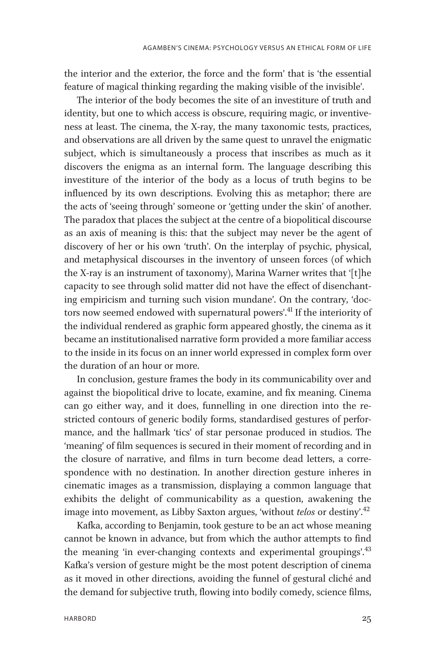the interior and the exterior, the force and the form' that is 'the essential feature of magical thinking regarding the making visible of the invisible'.

The interior of the body becomes the site of an investiture of truth and identity, but one to which access is obscure, requiring magic, or inventiveness at least. The cinema, the X-ray, the many taxonomic tests, practices, and observations are all driven by the same quest to unravel the enigmatic subject, which is simultaneously a process that inscribes as much as it discovers the enigma as an internal form. The language describing this investiture of the interior of the body as a locus of truth begins to be influenced by its own descriptions. Evolving this as metaphor; there are the acts of 'seeing through' someone or 'getting under the skin' of another. The paradox that places the subject at the centre of a biopolitical discourse as an axis of meaning is this: that the subject may never be the agent of discovery of her or his own 'truth'. On the interplay of psychic, physical, and metaphysical discourses in the inventory of unseen forces (of which the X-ray is an instrument of taxonomy), Marina Warner writes that '[t]he capacity to see through solid matter did not have the effect of disenchanting empiricism and turning such vision mundane'. On the contrary, 'doctors now seemed endowed with supernatural powers'. <sup>41</sup> If the interiority of the individual rendered as graphic form appeared ghostly, the cinema as it became an institutionalised narrative form provided a more familiar access to the inside in its focus on an inner world expressed in complex form over the duration of an hour or more.

In conclusion, gesture frames the body in its communicability over and against the biopolitical drive to locate, examine, and fix meaning. Cinema can go either way, and it does, funnelling in one direction into the restricted contours of generic bodily forms, standardised gestures of performance, and the hallmark 'tics' of star personae produced in studios. The 'meaning' of film sequences is secured in their moment of recording and in the closure of narrative, and films in turn become dead letters, a correspondence with no destination. In another direction gesture inheres in cinematic images as a transmission, displaying a common language that exhibits the delight of communicability as a question, awakening the image into movement, as Libby Saxton argues, 'without telos or destiny'.<sup>42</sup>

Kafka, according to Benjamin, took gesture to be an act whose meaning cannot be known in advance, but from which the author attempts to find the meaning 'in ever-changing contexts and experimental groupings'.<sup>43</sup> Kafka's version of gesture might be the most potent description of cinema as it moved in other directions, avoiding the funnel of gestural cliché and the demand for subjective truth, flowing into bodily comedy, science films,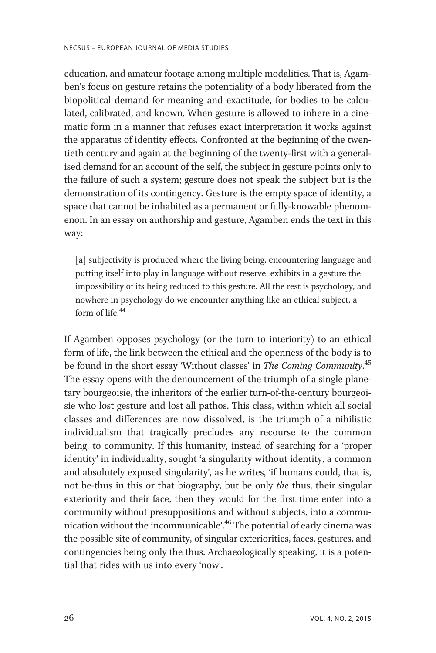education, and amateur footage among multiple modalities. That is, Agamben's focus on gesture retains the potentiality of a body liberated from the biopolitical demand for meaning and exactitude, for bodies to be calculated, calibrated, and known. When gesture is allowed to inhere in a cinematic form in a manner that refuses exact interpretation it works against the apparatus of identity effects. Confronted at the beginning of the twentieth century and again at the beginning of the twenty-first with a generalised demand for an account of the self, the subject in gesture points only to the failure of such a system; gesture does not speak the subject but is the demonstration of its contingency. Gesture is the empty space of identity, a space that cannot be inhabited as a permanent or fully-knowable phenomenon. In an essay on authorship and gesture, Agamben ends the text in this way:

[a] subjectivity is produced where the living being, encountering language and putting itself into play in language without reserve, exhibits in a gesture the impossibility of its being reduced to this gesture. All the rest is psychology, and nowhere in psychology do we encounter anything like an ethical subject, a form of  $l$ ife $44$ 

If Agamben opposes psychology (or the turn to interiority) to an ethical form of life, the link between the ethical and the openness of the body is to be found in the short essay 'Without classes' in The Coming Community.<sup>45</sup> The essay opens with the denouncement of the triumph of a single planetary bourgeoisie, the inheritors of the earlier turn-of-the-century bourgeoisie who lost gesture and lost all pathos. This class, within which all social classes and differences are now dissolved, is the triumph of a nihilistic individualism that tragically precludes any recourse to the common being, to community. If this humanity, instead of searching for a 'proper identity' in individuality, sought 'a singularity without identity, a common and absolutely exposed singularity', as he writes, 'if humans could, that is, not be-thus in this or that biography, but be only the thus, their singular exteriority and their face, then they would for the first time enter into a community without presuppositions and without subjects, into a communication without the incommunicable'. <sup>46</sup> The potential of early cinema was the possible site of community, of singular exteriorities, faces, gestures, and contingencies being only the thus. Archaeologically speaking, it is a potential that rides with us into every 'now'.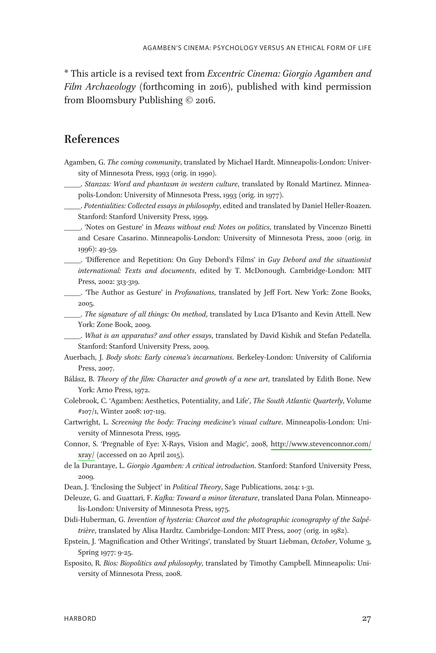\* This article is a revised text from Excentric Cinema: Giorgio Agamben and Film Archaeology (forthcoming in 2016), published with kind permission from Bloomsbury Publishing © 2016.

# References

- Agamben, G. The coming community, translated by Michael Hardt. Minneapolis-London: University of Minnesota Press, 1993 (orig. in 1990).
- \_\_\_\_\_. Stanzas: Word and phantasm in western culture, translated by Ronald Martinez. Minneapolis-London: University of Minnesota Press, 1993 (orig. in 1977).
- . Potentialities: Collected essays in philosophy, edited and translated by Daniel Heller-Roazen. Stanford: Stanford University Press, 1999.
	- \_\_\_\_\_. 'Notes on Gesture' in Means without end: Notes on politics, translated by Vincenzo Binetti and Cesare Casarino. Minneapolis-London: University of Minnesota Press, 2000 (orig. in 1996): 49-59.
- \_\_\_\_\_. 'Difference and Repetition: On Guy Debord's Films' in Guy Debord and the situationist international: Texts and documents, edited by T. McDonough. Cambridge-London: MIT Press, 2002: 313-319.
- . 'The Author as Gesture' in *Profanations*, translated by Jeff Fort. New York: Zone Books, 2005.
- \_\_\_\_\_. The signature of all things: On method, translated by Luca D'Isanto and Kevin Attell. New York: Zone Book, 2009.
- . What is an apparatus? and other essays, translated by David Kishik and Stefan Pedatella. Stanford: Stanford University Press, 2009.
- Auerbach, J. Body shots: Early cinema's incarnations. Berkeley-London: University of California Press, 2007.
- Bálász, B. Theory of the film: Character and growth of a new art, translated by Edith Bone. New York: Arno Press, 1972.
- Colebrook, C. 'Agamben: Aesthetics, Potentiality, and Life', The South Atlantic Quarterly, Volume #107/1, Winter 2008: 107-119.
- Cartwright, L. Screening the body: Tracing medicine's visual culture. Minneapolis-London: University of Minnesota Press, 1995.
- Connor, S. 'Pregnable of Eye: X-Rays, Vision and Magic', 2008, [http://www.stevenconnor.com/](http://www.stevenconnor.com/xray/) [xray/](http://www.stevenconnor.com/xray/) (accessed on 20 April 2015).
- de la Durantaye, L. Giorgio Agamben: A critical introduction. Stanford: Stanford University Press, 2009.
- Dean, J. 'Enclosing the Subject' in *Political Theory*, Sage Publications, 2014: 1-31.
- Deleuze, G. and Guattari, F. Kafka: Toward a minor literature, translated Dana Polan. Minneapolis-London: University of Minnesota Press, 1975.
- Didi-Huberman, G. Invention of hysteria: Charcot and the photographic iconography of the Salpêtrière, translated by Alisa Hardtz. Cambridge-London: MIT Press, 2007 (orig. in 1982).
- Epstein, J. 'Magnification and Other Writings', translated by Stuart Liebman, October, Volume 3, Spring 1977: 9-25.
- Esposito, R. Bios: Biopolitics and philosophy, translated by Timothy Campbell. Minneapolis: University of Minnesota Press, 2008.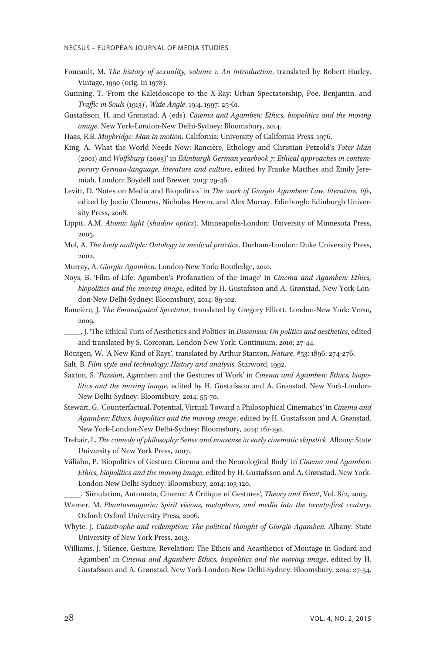- Foucault, M. The history of sexuality, volume 1: An introduction, translated by Robert Hurley. Vintage, 1990 (orig. in 1978).
- Gunning, T. 'From the Kaleidoscope to the X-Ray: Urban Spectatorship, Poe, Benjamin, and Traffic in Souls (1913)', Wide Angle, 19:4, 1997: 25-61.
- Gustafsson, H. and Grønstad, A (eds). Cinema and Agamben: Ethics, biopolitics and the moving image. New York-London-New Delhi-Sydney: Bloomsbury, 2014.
- Haas, R.B. Muybridge: Man in motion. California: University of California Press, 1976.
- King, A. 'What the World Needs Now: Rancière, Ethology and Christian Petzold's Toter Man (2001) and Wolfsburg (2003)' in Edinburgh German yearbook 7: Ethical approaches in contemporary German-language, literature and culture, edited by Frauke Matthes and Emily Jeremiah. London: Boydell and Brewer, 2013: 29-46.
- Levitt, D. 'Notes on Media and Biopolitics' in The work of Giorgio Agamben: Law, literature, life, edited by Justin Clemens, Nicholas Heron, and Alex Murray. Edinburgh: Edinburgh University Press, 2008.
- Lippit, A.M. Atomic light (shadow optics). Minneapolis-London: University of Minnesota Press, 2005.
- Mol, A. The body multiple: Ontology in medical practice. Durham-London: Duke University Press, 2002.
- Murray, A. Giorgio Agamben. London-New York: Routledge, 2010.
- Noys, B. 'Film-of-Life: Agamben's Profanation of the Image' in Cinema and Agamben: Ethics, biopolitics and the moving image, edited by H. Gustafsson and A. Grønstad. New York-London-New Delhi-Sydney: Bloomsbury, 2014: 89-102.
- Rancière, J. The Emancipated Spectator, translated by Gregory Elliott. London-New York: Verso, 2009.
- \_\_\_\_\_. J. 'The Ethical Turn of Aesthetics and Politics' in Dissensus: On politics and aesthetics, edited and translated by S. Corcoran. London-New York: Continuum, 2010: 27-44.
- Röntgen, W. 'A New Kind of Rays', translated by Arthur Stanton, Nature, #53: 1896: 274-276.

Salt, B. Film style and technology: History and analysis. Starword, 1992.

- Saxton, S. 'Passion, Agamben and the Gestures of Work' in Cinema and Agamben: Ethics, biopolitics and the moving image, edited by H. Gustafsson and A. Grønstad. New York-London-New Delhi-Sydney: Bloomsbury, 2014: 55-70.
- Stewart, G. 'Counterfactual, Potential, Virtual: Toward a Philosophical Cinematics' in Cinema and Agamben: Ethics, biopolitics and the moving image, edited by H. Gustafsson and A. Grønstad. New York-London-New Delhi-Sydney: Bloomsbury, 2014: 161-190.
- Trehair, L. The comedy of philosophy: Sense and nonsense in early cinematic slapstick. Albany: State University of New York Press, 2007.
- Väliaho, P. 'Biopolitics of Gesture: Cinema and the Neurological Body' in Cinema and Agamben: Ethics, biopolitics and the moving image, edited by H. Gustafsson and A. Grønstad. New York-London-New Delhi-Sydney: Bloomsbury, 2014: 103-120.

\_\_\_\_\_. 'Simulation, Automata, Cinema: A Critique of Gestures', Theory and Event, Vol. 8/2, 2005.

- Warner, M. Phantasmagoria: Spirit visions, metaphors, and media into the twenty-first century. Oxford: Oxford University Press, 2006.
- Whyte, J. Catastrophe and redemption: The political thought of Giorgio Agamben. Albany: State University of New York Press, 2013.
- Williams, J. 'Silence, Gesture, Revelation: The Ethcis and Aeasthetics of Montage in Godard and Agamben' in Cinema and Agamben: Ethics, biopolitics and the moving image, edited by H. Gustafsson and A. Grønstad. New York-London-New Delhi-Sydney: Bloomsbury, 2014: 27-54.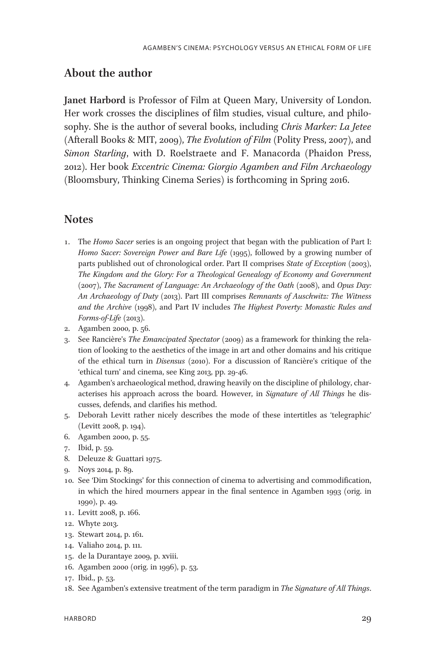# About the author

Janet Harbord is Professor of Film at Queen Mary, University of London. Her work crosses the disciplines of film studies, visual culture, and philosophy. She is the author of several books, including Chris Marker: La Jetee (Afterall Books & MIT, 2009), The Evolution of Film (Polity Press, 2007), and Simon Starling, with D. Roelstraete and F. Manacorda (Phaidon Press, 2012). Her book Excentric Cinema: Giorgio Agamben and Film Archaeology (Bloomsbury, Thinking Cinema Series) is forthcoming in Spring 2016.

## **Notes**

- 1. The Homo Sacer series is an ongoing project that began with the publication of Part I: Homo Sacer: Sovereign Power and Bare Life (1995), followed by a growing number of parts published out of chronological order. Part II comprises State of Exception (2003), The Kingdom and the Glory: For a Theological Genealogy of Economy and Government (2007), The Sacrament of Language: An Archaeology of the Oath (2008), and Opus Day: An Archaeology of Duty (2013). Part III comprises Remnants of Auschwitz: The Witness and the Archive (1998), and Part IV includes The Highest Poverty: Monastic Rules and Forms-of-Life (2013).
- 2. Agamben 2000, p. 56.
- 3. See Rancière's The Emancipated Spectator (2009) as a framework for thinking the relation of looking to the aesthetics of the image in art and other domains and his critique of the ethical turn in Disensus (2010). For a discussion of Rancière's critique of the 'ethical turn' and cinema, see King 2013, pp. 29-46.
- 4. Agamben's archaeological method, drawing heavily on the discipline of philology, characterises his approach across the board. However, in Signature of All Things he discusses, defends, and clarifies his method.
- 5. Deborah Levitt rather nicely describes the mode of these intertitles as 'telegraphic' (Levitt 2008, p. 194).
- 6. Agamben 2000, p. 55.
- 7. Ibid, p. 59.
- 8. Deleuze & Guattari 1975.
- 9. Noys 2014, p. 89.
- 10. See 'Dim Stockings' for this connection of cinema to advertising and commodification, in which the hired mourners appear in the final sentence in Agamben 1993 (orig. in 1990), p. 49.
- 1 1. Levitt 2008, p. 166.
- 12. Whyte 2013.
- 13. Stewart 2014, p. 161.
- 14. Valiaho 2014, p. 111.
- 15. de la Durantaye 2009, p. xviii.
- 16. Agamben 2000 (orig. in 1996), p. 53.
- 17. Ibid., p. 53.
- 18. See Agamben's extensive treatment of the term paradigm in The Signature of All Things.